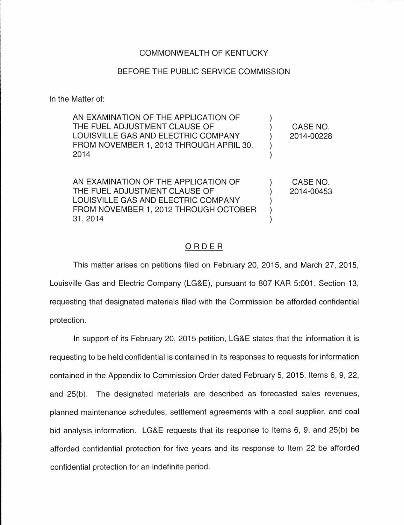## COMMONWEALTH OF KENTUCKY

## BEFORE THE PUBLIC SERVICE COMMISSION

In the Matter of:

| AN EXAMINATION OF THE APPLICATION OF<br>THE FUEL ADJUSTMENT CLAUSE OF<br>LOUISVILLE GAS AND ELECTRIC COMPANY<br>FROM NOVEMBER 1, 2013 THROUGH APRIL 30,<br>2014   | CASE NO.<br>2014-00228 |
|-------------------------------------------------------------------------------------------------------------------------------------------------------------------|------------------------|
| AN EXAMINATION OF THE APPLICATION OF<br>THE FUEL ADJUSTMENT CLAUSE OF<br>LOUISVILLE GAS AND ELECTRIC COMPANY<br>FROM NOVEMBER 1, 2012 THROUGH OCTOBER<br>31, 2014 | CASE NO.<br>2014-00453 |

## ORDER

This matter arises on petitions filed on February 20, 2015, and March 27, 2015, Louisville Gas and Electric Company (LG&E), pursuant to 807 KAR 5:001, Section 13, requesting that designated materials filed with the Commission be afforded confidential protection.

In support of its February 20, 2015 petition, LG&E states that the information it is requesting to be held confidential is contained in its responses to requests for information contained in the Appendix to Commission Order dated February 5, 2015, Items 6, 9, 22, and 25(b). The designated materials are described as forecasted sales revenues, planned maintenance schedules, settlement agreements with a coal supplier, and coal bid analysis information. LG&E requests that its response to Items 6, 9, and 25(b) be afforded confidential protection for five years and its response to Item 22 be afforded confidential protection for an indefinite period.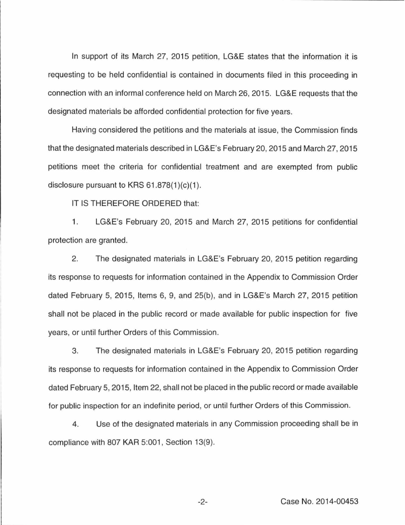In support of its March 27, 2015 petition, LG&E states that the information it is requesting to be held confidential is contained in documents filed in this proceeding in connection with an informal conference held on March 26, 2015. LG&E requests that the designated materials be afforded confidential protection for five years.

Having considered the petitions and the materials at issue, the Commission finds that the designated materials described in LG&E's February 20, 2015 and March 27, 2015 petitions meet the criteria for confidential treatment and are exempted from public disclosure pursuant to KRS 61.878(1)(c)(1).

IT IS THEREFORE ORDERED that:

1. LG&E's February 20, 2015 and March 27, 2015 petitions for confidential protection are granted.

2. The designated materials in LG&E's February 20, 2015 petition regarding its response to requests for information contained in the Appendix to Commission Order dated February 5, 2015, Items 6, 9, and 25(b), and in LG&E's March 27, 2015 petition shall not be placed in the public record or made available for public inspection for five years, or until further Orders of this Commission.

3. The designated materials in LG&E's February 20, 2015 petition regarding its response to requests for information contained in the Appendix to Commission Order dated February 5, 2015, Item 22, shall not be placed in the public record or made available for public inspection for an indefinite period, or until further Orders of this Commission.

4. Use of the designated materials in any Commission proceeding shall be in compliance with 807 KAR 5:001, Section 13(9).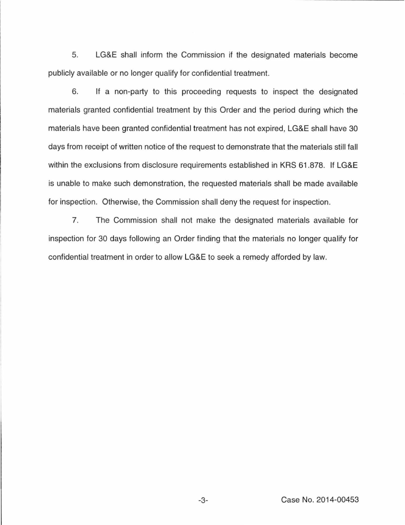5. LG&E shall inform the Commission if the designated materials become publicly available or no longer qualify for confidential treatment.

6. If a non-party to this proceeding requests to inspect the designated materials granted confidential treatment by this Order and the period during which the materials have been granted confidential treatment has not expired, LG&E shall have 30 days from receipt of written notice of the request to demonstrate that the materials still fall within the exclusions from disclosure requirements established in KRS 61.878. If LG&E is unable to make such demonstration, the requested materials shall be made available for inspection. Otherwise, the Commission shall deny the request for inspection.

7. The Commission shall not make the designated materials available for inspection for 30 days following an Order finding that the materials no longer qualify for confidential treatment in order to allow LG&E to seek a remedy afforded by law.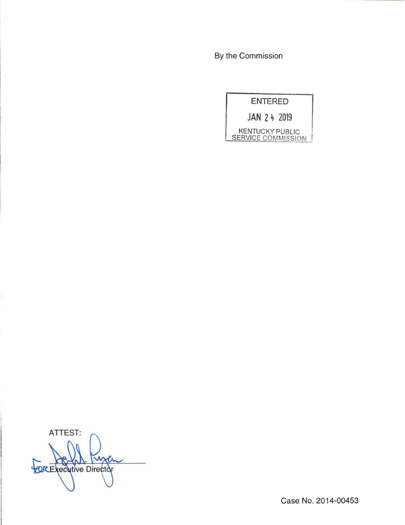By the Commission

| <b>ENTERED</b>                               |  |
|----------------------------------------------|--|
| JAN 24 2019                                  |  |
| <b>KENTUCKY PUBLIC</b><br>SERVICE COMMISSION |  |

ATTEST: χй **BOREXECUTIVE Director** 

Case No. 2014-00453